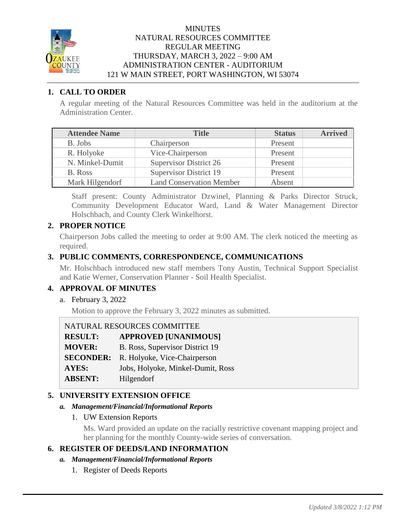

### **MINUTES** NATURAL RESOURCES COMMITTEE REGULAR MEETING THURSDAY, MARCH 3, 2022 – 9:00 AM ADMINISTRATION CENTER - AUDITORIUM 121 W MAIN STREET, PORT WASHINGTON, WI 53074

# **1. CALL TO ORDER**

A regular meeting of the Natural Resources Committee was held in the auditorium at the Administration Center.

| <b>Attendee Name</b> | <b>Title</b>                    | <b>Status</b> | <b>Arrived</b> |
|----------------------|---------------------------------|---------------|----------------|
| B. Jobs              | Chairperson                     | Present       |                |
| R. Holyoke           | Vice-Chairperson                | Present       |                |
| N. Minkel-Dumit      | <b>Supervisor District 26</b>   | Present       |                |
| B. Ross              | <b>Supervisor District 19</b>   | Present       |                |
| Mark Hilgendorf      | <b>Land Conservation Member</b> | Absent        |                |

Staff present: County Administrator Dzwinel, Planning & Parks Director Struck, Community Development Educator Ward, Land & Water Management Director Holschbach, and County Clerk Winkelhorst.

# **2. PROPER NOTICE**

Chairperson Jobs called the meeting to order at 9:00 AM. The clerk noticed the meeting as required.

# **3. PUBLIC COMMENTS, CORRESPONDENCE, COMMUNICATIONS**

Mr. Holschbach introduced new staff members Tony Austin, Technical Support Specialist and Katie Werner, Conservation Planner - Soil Health Specialist.

## **4. APPROVAL OF MINUTES**

a. February 3, 2022

Motion to approve the February 3, 2022 minutes as submitted.

| NATURAL RESOURCES COMMITTEE |                                   |
|-----------------------------|-----------------------------------|
| <b>RESULT:</b>              | <b>APPROVED [UNANIMOUS]</b>       |
| <b>MOVER:</b>               | B. Ross, Supervisor District 19   |
| <b>SECONDER:</b>            | R. Holyoke, Vice-Chairperson      |
| <b>AYES:</b>                | Jobs, Holyoke, Minkel-Dumit, Ross |
| <b>ABSENT:</b>              | Hilgendorf                        |

## **5. UNIVERSITY EXTENSION OFFICE**

#### *a. Management/Financial/Informational Reports*

1. UW Extension Reports

Ms. Ward provided an update on the racially restrictive covenant mapping project and her planning for the monthly County-wide series of conversation.

# **6. REGISTER OF DEEDS/LAND INFORMATION**

- *a. Management/Financial/Informational Reports*
	- 1. Register of Deeds Reports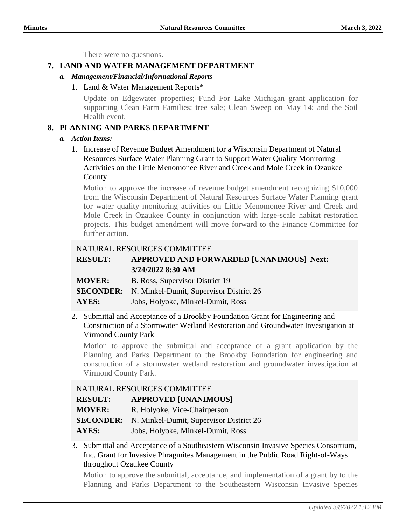There were no questions.

# **7. LAND AND WATER MANAGEMENT DEPARTMENT**

- *a. Management/Financial/Informational Reports*
	- 1. Land & Water Management Reports\*

Update on Edgewater properties; Fund For Lake Michigan grant application for supporting Clean Farm Families; tree sale; Clean Sweep on May 14; and the Soil Health event.

# **8. PLANNING AND PARKS DEPARTMENT**

#### *a. Action Items:*

1. Increase of Revenue Budget Amendment for a Wisconsin Department of Natural Resources Surface Water Planning Grant to Support Water Quality Monitoring Activities on the Little Menomonee River and Creek and Mole Creek in Ozaukee **County** 

Motion to approve the increase of revenue budget amendment recognizing \$10,000 from the Wisconsin Department of Natural Resources Surface Water Planning grant for water quality monitoring activities on Little Menomonee River and Creek and Mole Creek in Ozaukee County in conjunction with large-scale habitat restoration projects. This budget amendment will move forward to the Finance Committee for further action.

# NATURAL RESOURCES COMMITTEE

# **RESULT: APPROVED AND FORWARDED [UNANIMOUS] Next: 3/24/2022 8:30 AM**

| <b>MOVER:</b> | B. Ross, Supervisor District 19 |  |
|---------------|---------------------------------|--|
|---------------|---------------------------------|--|

- **SECONDER:** N. Minkel-Dumit, Supervisor District 26
- **AYES:** Jobs, Holyoke, Minkel-Dumit, Ross

#### 2. Submittal and Acceptance of a Brookby Foundation Grant for Engineering and Construction of a Stormwater Wetland Restoration and Groundwater Investigation at Virmond County Park

Motion to approve the submittal and acceptance of a grant application by the Planning and Parks Department to the Brookby Foundation for engineering and construction of a stormwater wetland restoration and groundwater investigation at Virmond County Park.

| NATURAL RESOURCES COMMITTEE |                                         |
|-----------------------------|-----------------------------------------|
| <b>RESULT:</b>              | <b>APPROVED [UNANIMOUS]</b>             |
| <b>MOVER:</b>               | R. Holyoke, Vice-Chairperson            |
| <b>SECONDER:</b>            | N. Minkel-Dumit, Supervisor District 26 |
| <b>AYES:</b>                | Jobs, Holyoke, Minkel-Dumit, Ross       |

3. Submittal and Acceptance of a Southeastern Wisconsin Invasive Species Consortium, Inc. Grant for Invasive Phragmites Management in the Public Road Right-of-Ways throughout Ozaukee County

Motion to approve the submittal, acceptance, and implementation of a grant by to the Planning and Parks Department to the Southeastern Wisconsin Invasive Species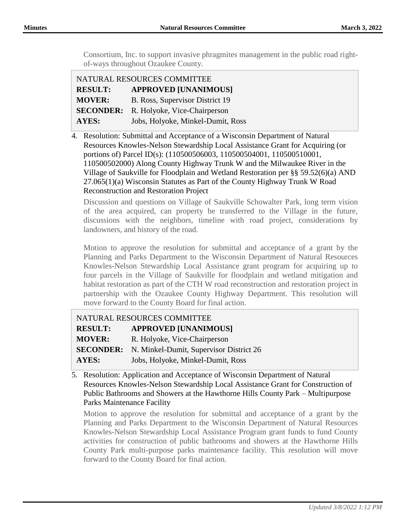Consortium, Inc. to support invasive phragmites management in the public road rightof-ways throughout Ozaukee County.

| NATURAL RESOURCES COMMITTEE |                                   |
|-----------------------------|-----------------------------------|
| <b>RESULT:</b>              | <b>APPROVED [UNANIMOUS]</b>       |
| <b>MOVER:</b>               | B. Ross, Supervisor District 19   |
| <b>SECONDER:</b>            | R. Holyoke, Vice-Chairperson      |
| <b>AYES:</b>                | Jobs, Holyoke, Minkel-Dumit, Ross |

4. Resolution: Submittal and Acceptance of a Wisconsin Department of Natural Resources Knowles-Nelson Stewardship Local Assistance Grant for Acquiring (or portions of) Parcel ID(s): (110500506003, 110500504001, 110500510001, 110500502000) Along County Highway Trunk W and the Milwaukee River in the Village of Saukville for Floodplain and Wetland Restoration per §§ 59.52(6)(a) AND 27.065(1)(a) Wisconsin Statutes as Part of the County Highway Trunk W Road Reconstruction and Restoration Project

Discussion and questions on Village of Saukville Schowalter Park, long term vision of the area acquired, can property be transferred to the Village in the future, discussions with the neighbors, timeline with road project, considerations by landowners, and history of the road.

Motion to approve the resolution for submittal and acceptance of a grant by the Planning and Parks Department to the Wisconsin Department of Natural Resources Knowles-Nelson Stewardship Local Assistance grant program for acquiring up to four parcels in the Village of Saukville for floodplain and wetland mitigation and habitat restoration as part of the CTH W road reconstruction and restoration project in partnership with the Ozaukee County Highway Department. This resolution will move forward to the County Board for final action.

| NATURAL RESOURCES COMMITTEE |                                                          |
|-----------------------------|----------------------------------------------------------|
| <b>RESULT:</b>              | <b>APPROVED [UNANIMOUS]</b>                              |
| <b>MOVER:</b>               | R. Holyoke, Vice-Chairperson                             |
|                             | <b>SECONDER:</b> N. Minkel-Dumit, Supervisor District 26 |
| <b>AYES:</b>                | Jobs, Holyoke, Minkel-Dumit, Ross                        |

5. Resolution: Application and Acceptance of Wisconsin Department of Natural Resources Knowles-Nelson Stewardship Local Assistance Grant for Construction of Public Bathrooms and Showers at the Hawthorne Hills County Park – Multipurpose Parks Maintenance Facility

Motion to approve the resolution for submittal and acceptance of a grant by the Planning and Parks Department to the Wisconsin Department of Natural Resources Knowles-Nelson Stewardship Local Assistance Program grant funds to fund County activities for construction of public bathrooms and showers at the Hawthorne Hills County Park multi-purpose parks maintenance facility. This resolution will move forward to the County Board for final action.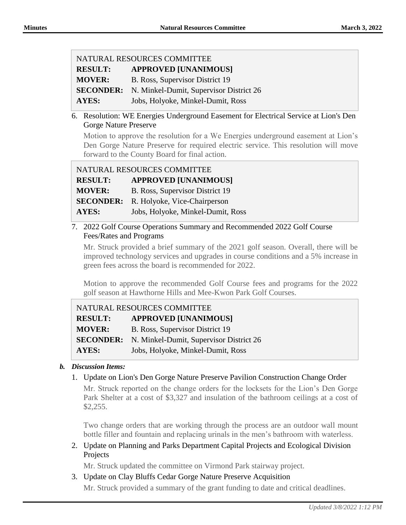**RESULT: APPROVED [UNANIMOUS]**

**MOVER:** B. Ross, Supervisor District 19

**SECONDER:** N. Minkel-Dumit, Supervisor District 26

**AYES:** Jobs, Holyoke, Minkel-Dumit, Ross

6. Resolution: WE Energies Underground Easement for Electrical Service at Lion's Den Gorge Nature Preserve

Motion to approve the resolution for a We Energies underground easement at Lion's Den Gorge Nature Preserve for required electric service. This resolution will move forward to the County Board for final action.

| NATURAL RESOURCES COMMITTEE |                                   |
|-----------------------------|-----------------------------------|
| <b>RESULT:</b>              | <b>APPROVED [UNANIMOUS]</b>       |
| <b>MOVER:</b>               | B. Ross, Supervisor District 19   |
| <b>SECONDER:</b>            | R. Holyoke, Vice-Chairperson      |
| <b>AYES:</b>                | Jobs, Holyoke, Minkel-Dumit, Ross |

7. 2022 Golf Course Operations Summary and Recommended 2022 Golf Course Fees/Rates and Programs

Mr. Struck provided a brief summary of the 2021 golf season. Overall, there will be improved technology services and upgrades in course conditions and a 5% increase in green fees across the board is recommended for 2022.

Motion to approve the recommended Golf Course fees and programs for the 2022 golf season at Hawthorne Hills and Mee-Kwon Park Golf Courses.

| NATURAL RESOURCES COMMITTEE |                                         |
|-----------------------------|-----------------------------------------|
| <b>RESULT:</b>              | <b>APPROVED [UNANIMOUS]</b>             |
| <b>MOVER:</b>               | B. Ross, Supervisor District 19         |
| <b>SECONDER:</b>            | N. Minkel-Dumit, Supervisor District 26 |
| <b>AYES:</b>                | Jobs, Holyoke, Minkel-Dumit, Ross       |

## *b. Discussion Items:*

1. Update on Lion's Den Gorge Nature Preserve Pavilion Construction Change Order

Mr. Struck reported on the change orders for the locksets for the Lion's Den Gorge Park Shelter at a cost of \$3,327 and insulation of the bathroom ceilings at a cost of \$2,255.

Two change orders that are working through the process are an outdoor wall mount bottle filler and fountain and replacing urinals in the men's bathroom with waterless.

2. Update on Planning and Parks Department Capital Projects and Ecological Division Projects

Mr. Struck updated the committee on Virmond Park stairway project.

3. Update on Clay Bluffs Cedar Gorge Nature Preserve Acquisition

Mr. Struck provided a summary of the grant funding to date and critical deadlines.